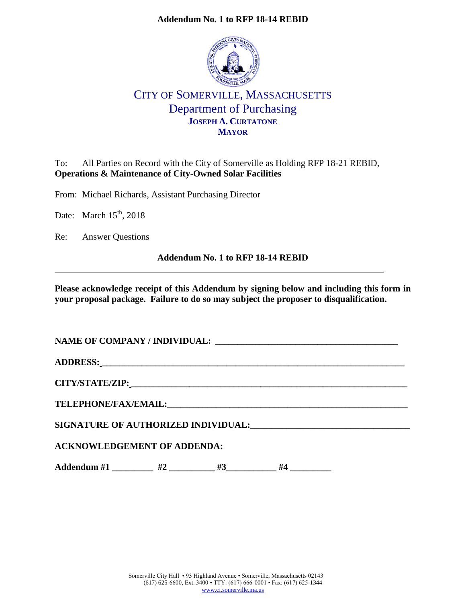## **Addendum No. 1 to RFP 18-14 REBID**



# CITY OF SOMERVILLE, MASSACHUSETTS Department of Purchasing **JOSEPH A. CURTATONE MAYOR**

To: All Parties on Record with the City of Somerville as Holding RFP 18-21 REBID, **Operations & Maintenance of City-Owned Solar Facilities**

From: Michael Richards, Assistant Purchasing Director

Date: March  $15<sup>th</sup>$ , 2018

Re: Answer Questions

## **Addendum No. 1 to RFP 18-14 REBID**

**Please acknowledge receipt of this Addendum by signing below and including this form in your proposal package. Failure to do so may subject the proposer to disqualification.**

| ADDRESS: North Contract of the Contract of the Contract of the Contract of the Contract of the Contract of the Contract of the Contract of the Contract of the Contract of the Contract of the Contract of the Contract of the |    |    |    |  |  |
|--------------------------------------------------------------------------------------------------------------------------------------------------------------------------------------------------------------------------------|----|----|----|--|--|
|                                                                                                                                                                                                                                |    |    |    |  |  |
|                                                                                                                                                                                                                                |    |    |    |  |  |
| SIGNATURE OF AUTHORIZED INDIVIDUAL:                                                                                                                                                                                            |    |    |    |  |  |
| <b>ACKNOWLEDGEMENT OF ADDENDA:</b>                                                                                                                                                                                             |    |    |    |  |  |
| Addendum #1                                                                                                                                                                                                                    | #2 | #3 | #4 |  |  |